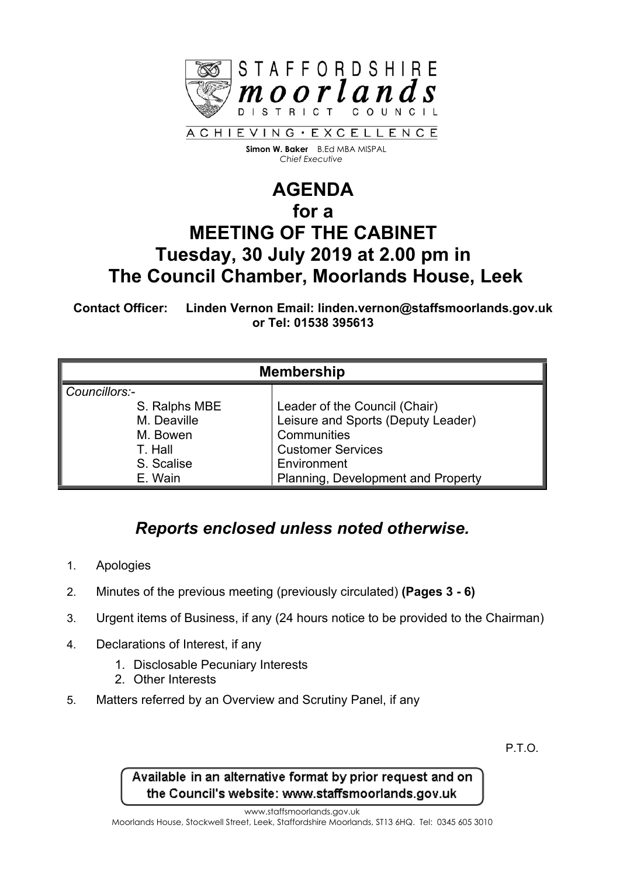

 **Simon W. Baker** B.Ed MBA MISPAL  *Chief Executive*

## **AGENDA for a MEETING OF THE CABINET Tuesday, 30 July 2019 at 2.00 pm in The Council Chamber, Moorlands House, Leek**

**Contact Officer: Linden Vernon Email: linden.vernon@staffsmoorlands.gov.uk or Tel: 01538 395613**

| <b>Membership</b> |                                    |
|-------------------|------------------------------------|
| Councillors:-     |                                    |
| S. Ralphs MBE     | Leader of the Council (Chair)      |
| M. Deaville       | Leisure and Sports (Deputy Leader) |
| M. Bowen          | Communities                        |
| T. Hall           | <b>Customer Services</b>           |
| S. Scalise        | Environment                        |
| E. Wain           | Planning, Development and Property |

## *Reports enclosed unless noted otherwise.*

- 1. Apologies
- 2. Minutes of the previous meeting (previously circulated) **(Pages 3 - 6)**
- 3. Urgent items of Business, if any (24 hours notice to be provided to the Chairman)
- 4. Declarations of Interest, if any
	- 1. Disclosable Pecuniary Interests
	- 2. Other Interests
- 5. Matters referred by an Overview and Scrutiny Panel, if any

P.T.O.

Available in an alternative format by prior request and on the Council's website: www.staffsmoorlands.gov.uk

www.staffsmoorlands.gov.uk

Moorlands House, Stockwell Street, Leek, Staffordshire Moorlands, ST13 6HQ. Tel: 0345 605 3010